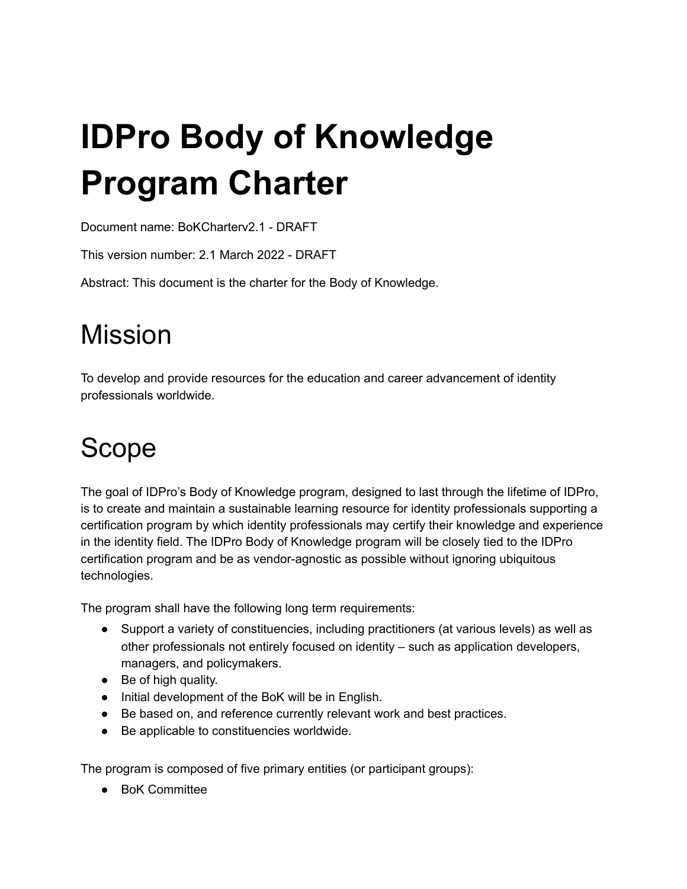# **IDPro Body of Knowledge Program Charter**

Document name: BoKCharterv2.1 - DRAFT

This version number: 2.1 March 2022 - DRAFT

Abstract: This document is the charter for the Body of Knowledge.

## Mission

To develop and provide resources for the education and career advancement of identity professionals worldwide.

# Scope

The goal of IDPro's Body of Knowledge program, designed to last through the lifetime of IDPro, is to create and maintain a sustainable learning resource for identity professionals supporting a certification program by which identity professionals may certify their knowledge and experience in the identity field. The IDPro Body of Knowledge program will be closely tied to the IDPro certification program and be as vendor-agnostic as possible without ignoring ubiquitous technologies.

The program shall have the following long term requirements:

- Support a variety of constituencies, including practitioners (at various levels) as well as other professionals not entirely focused on identity – such as application developers, managers, and policymakers.
- Be of high quality.
- Initial development of the BoK will be in English.
- Be based on, and reference currently relevant work and best practices.
- Be applicable to constituencies worldwide.

The program is composed of five primary entities (or participant groups):

● BoK Committee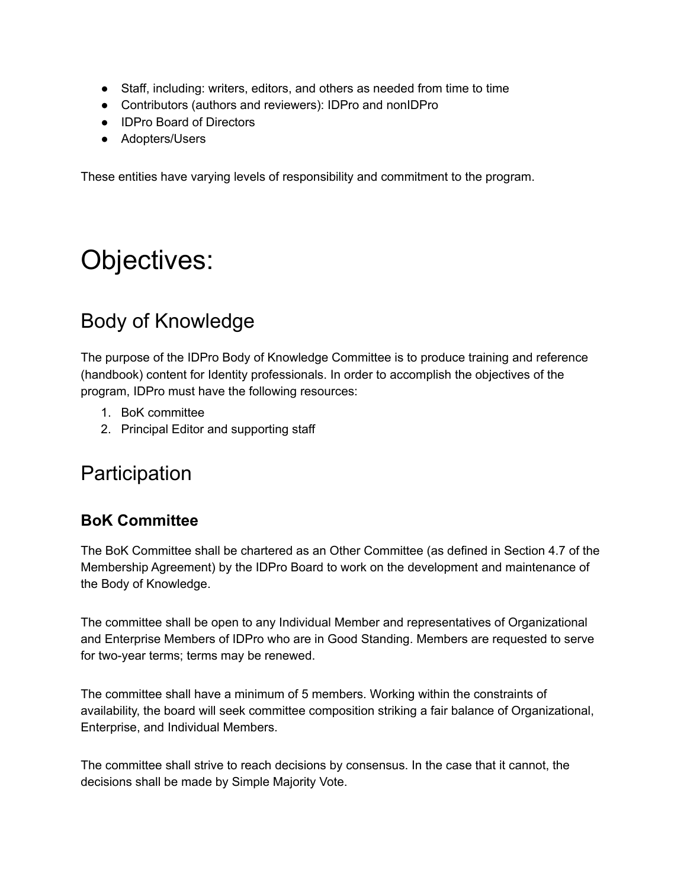- Staff, including: writers, editors, and others as needed from time to time
- Contributors (authors and reviewers): IDPro and nonIDPro
- IDPro Board of Directors
- Adopters/Users

These entities have varying levels of responsibility and commitment to the program.

### Objectives:

### Body of Knowledge

The purpose of the IDPro Body of Knowledge Committee is to produce training and reference (handbook) content for Identity professionals. In order to accomplish the objectives of the program, IDPro must have the following resources:

- 1. BoK committee
- 2. Principal Editor and supporting staff

### **Participation**

#### **BoK Committee**

The BoK Committee shall be chartered as an Other Committee (as defined in Section 4.7 of the Membership Agreement) by the IDPro Board to work on the development and maintenance of the Body of Knowledge.

The committee shall be open to any Individual Member and representatives of Organizational and Enterprise Members of IDPro who are in Good Standing. Members are requested to serve for two-year terms; terms may be renewed.

The committee shall have a minimum of 5 members. Working within the constraints of availability, the board will seek committee composition striking a fair balance of Organizational, Enterprise, and Individual Members.

The committee shall strive to reach decisions by consensus. In the case that it cannot, the decisions shall be made by Simple Majority Vote.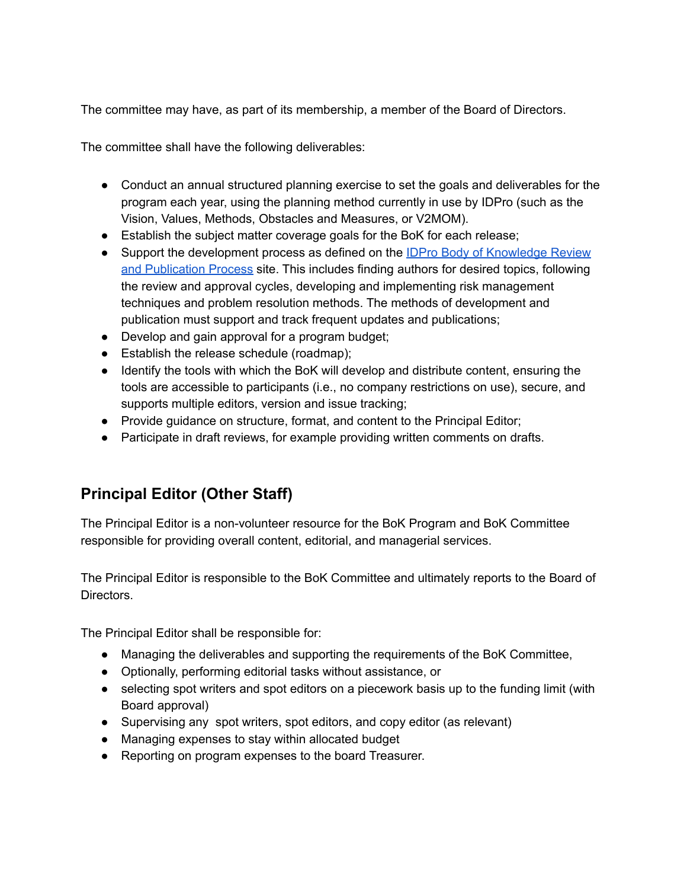The committee may have, as part of its membership, a member of the Board of Directors.

The committee shall have the following deliverables:

- Conduct an annual structured planning exercise to set the goals and deliverables for the program each year, using the planning method currently in use by IDPro (such as the Vision, Values, Methods, Obstacles and Measures, or V2MOM).
- Establish the subject matter coverage goals for the BoK for each release;
- Support the development process as defined on the **IDPro Body of [Knowledge](https://idpro.org/body-of-knowledge/bok-process/) Review** and [Publication](https://idpro.org/body-of-knowledge/bok-process/) Process site. This includes finding authors for desired topics, following the review and approval cycles, developing and implementing risk management techniques and problem resolution methods. The methods of development and publication must support and track frequent updates and publications;
- Develop and gain approval for a program budget;
- Establish the release schedule (roadmap);
- Identify the tools with which the BoK will develop and distribute content, ensuring the tools are accessible to participants (i.e., no company restrictions on use), secure, and supports multiple editors, version and issue tracking;
- Provide guidance on structure, format, and content to the Principal Editor;
- Participate in draft reviews, for example providing written comments on drafts.

#### **Principal Editor (Other Staff)**

The Principal Editor is a non-volunteer resource for the BoK Program and BoK Committee responsible for providing overall content, editorial, and managerial services.

The Principal Editor is responsible to the BoK Committee and ultimately reports to the Board of Directors.

The Principal Editor shall be responsible for:

- Managing the deliverables and supporting the requirements of the BoK Committee,
- Optionally, performing editorial tasks without assistance, or
- selecting spot writers and spot editors on a piecework basis up to the funding limit (with Board approval)
- Supervising any spot writers, spot editors, and copy editor (as relevant)
- Managing expenses to stay within allocated budget
- Reporting on program expenses to the board Treasurer.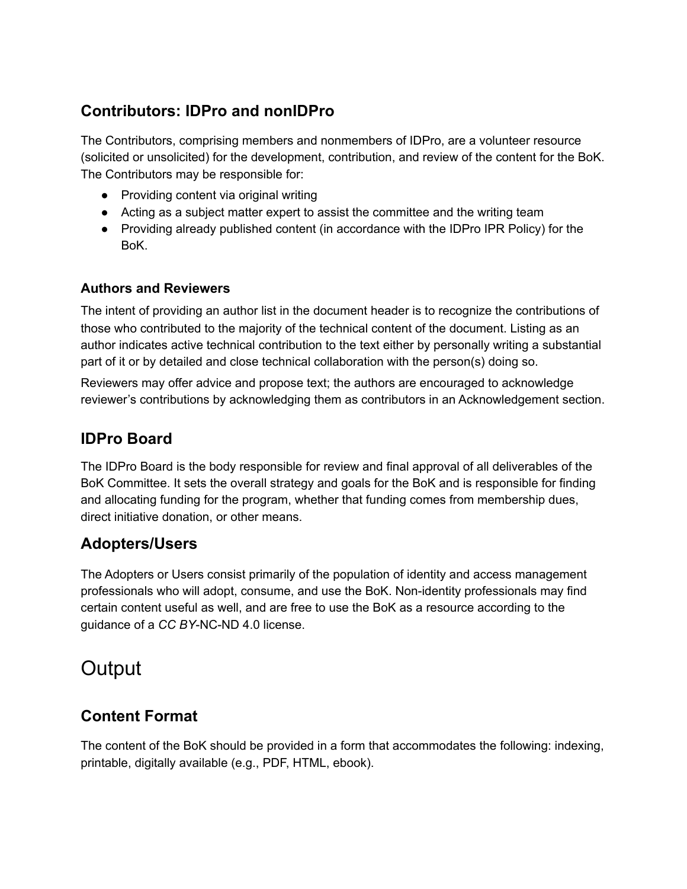#### **Contributors: IDPro and nonIDPro**

The Contributors, comprising members and nonmembers of IDPro, are a volunteer resource (solicited or unsolicited) for the development, contribution, and review of the content for the BoK. The Contributors may be responsible for:

- Providing content via original writing
- Acting as a subject matter expert to assist the committee and the writing team
- Providing already published content (in accordance with the IDPro IPR Policy) for the BoK.

#### **Authors and Reviewers**

The intent of providing an author list in the document header is to recognize the contributions of those who contributed to the majority of the technical content of the document. Listing as an author indicates active technical contribution to the text either by personally writing a substantial part of it or by detailed and close technical collaboration with the person(s) doing so.

Reviewers may offer advice and propose text; the authors are encouraged to acknowledge reviewer's contributions by acknowledging them as contributors in an Acknowledgement section.

#### **IDPro Board**

The IDPro Board is the body responsible for review and final approval of all deliverables of the BoK Committee. It sets the overall strategy and goals for the BoK and is responsible for finding and allocating funding for the program, whether that funding comes from membership dues, direct initiative donation, or other means.

#### **Adopters/Users**

The Adopters or Users consist primarily of the population of identity and access management professionals who will adopt, consume, and use the BoK. Non-identity professionals may find certain content useful as well, and are free to use the BoK as a resource according to the guidance of a *CC BY*-NC-ND 4.0 license.

### **Output**

#### **Content Format**

The content of the BoK should be provided in a form that accommodates the following: indexing, printable, digitally available (e.g., PDF, HTML, ebook).